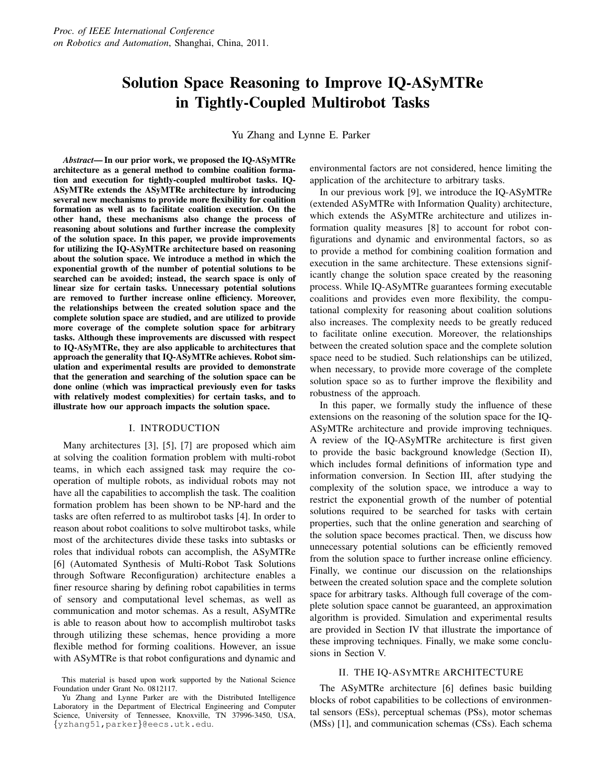# Solution Space Reasoning to Improve IQ-ASyMTRe in Tightly-Coupled Multirobot Tasks

Yu Zhang and Lynne E. Parker

*Abstract*— In our prior work, we proposed the IQ-ASyMTRe architecture as a general method to combine coalition formation and execution for tightly-coupled multirobot tasks. IQ-ASyMTRe extends the ASyMTRe architecture by introducing several new mechanisms to provide more flexibility for coalition formation as well as to facilitate coalition execution. On the other hand, these mechanisms also change the process of reasoning about solutions and further increase the complexity of the solution space. In this paper, we provide improvements for utilizing the IQ-ASyMTRe architecture based on reasoning about the solution space. We introduce a method in which the exponential growth of the number of potential solutions to be searched can be avoided; instead, the search space is only of linear size for certain tasks. Unnecessary potential solutions are removed to further increase online efficiency. Moreover, the relationships between the created solution space and the complete solution space are studied, and are utilized to provide more coverage of the complete solution space for arbitrary tasks. Although these improvements are discussed with respect to IQ-ASyMTRe, they are also applicable to architectures that approach the generality that IQ-ASyMTRe achieves. Robot simulation and experimental results are provided to demonstrate that the generation and searching of the solution space can be done online (which was impractical previously even for tasks with relatively modest complexities) for certain tasks, and to illustrate how our approach impacts the solution space.

## I. INTRODUCTION

Many architectures [3], [5], [7] are proposed which aim at solving the coalition formation problem with multi-robot teams, in which each assigned task may require the cooperation of multiple robots, as individual robots may not have all the capabilities to accomplish the task. The coalition formation problem has been shown to be NP-hard and the tasks are often referred to as multirobot tasks [4]. In order to reason about robot coalitions to solve multirobot tasks, while most of the architectures divide these tasks into subtasks or roles that individual robots can accomplish, the ASyMTRe [6] (Automated Synthesis of Multi-Robot Task Solutions through Software Reconfiguration) architecture enables a finer resource sharing by defining robot capabilities in terms of sensory and computational level schemas, as well as communication and motor schemas. As a result, ASyMTRe is able to reason about how to accomplish multirobot tasks through utilizing these schemas, hence providing a more flexible method for forming coalitions. However, an issue with ASyMTRe is that robot configurations and dynamic and environmental factors are not considered, hence limiting the application of the architecture to arbitrary tasks.

In our previous work [9], we introduce the IQ-ASyMTRe (extended ASyMTRe with Information Quality) architecture, which extends the ASyMTRe architecture and utilizes information quality measures [8] to account for robot configurations and dynamic and environmental factors, so as to provide a method for combining coalition formation and execution in the same architecture. These extensions significantly change the solution space created by the reasoning process. While IQ-ASyMTRe guarantees forming executable coalitions and provides even more flexibility, the computational complexity for reasoning about coalition solutions also increases. The complexity needs to be greatly reduced to facilitate online execution. Moreover, the relationships between the created solution space and the complete solution space need to be studied. Such relationships can be utilized, when necessary, to provide more coverage of the complete solution space so as to further improve the flexibility and robustness of the approach.

In this paper, we formally study the influence of these extensions on the reasoning of the solution space for the IQ-ASyMTRe architecture and provide improving techniques. A review of the IQ-ASyMTRe architecture is first given to provide the basic background knowledge (Section II), which includes formal definitions of information type and information conversion. In Section III, after studying the complexity of the solution space, we introduce a way to restrict the exponential growth of the number of potential solutions required to be searched for tasks with certain properties, such that the online generation and searching of the solution space becomes practical. Then, we discuss how unnecessary potential solutions can be efficiently removed from the solution space to further increase online efficiency. Finally, we continue our discussion on the relationships between the created solution space and the complete solution space for arbitrary tasks. Although full coverage of the complete solution space cannot be guaranteed, an approximation algorithm is provided. Simulation and experimental results are provided in Section IV that illustrate the importance of these improving techniques. Finally, we make some conclusions in Section V.

# II. THE IQ-ASYMTRE ARCHITECTURE

The ASyMTRe architecture [6] defines basic building blocks of robot capabilities to be collections of environmental sensors (ESs), perceptual schemas (PSs), motor schemas (MSs) [1], and communication schemas (CSs). Each schema

This material is based upon work supported by the National Science Foundation under Grant No. 0812117.

Yu Zhang and Lynne Parker are with the Distributed Intelligence Laboratory in the Department of Electrical Engineering and Computer Science, University of Tennessee, Knoxville, TN 37996-3450, USA, {yzhang51,parker}@eecs.utk.edu.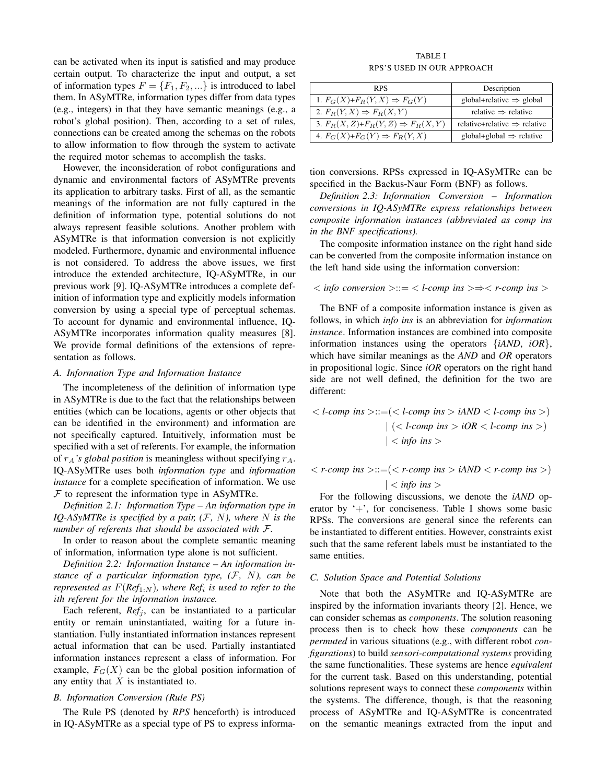can be activated when its input is satisfied and may produce certain output. To characterize the input and output, a set of information types  $F = \{F_1, F_2, ...\}$  is introduced to label them. In ASyMTRe, information types differ from data types (e.g., integers) in that they have semantic meanings (e.g., a robot's global position). Then, according to a set of rules, connections can be created among the schemas on the robots to allow information to flow through the system to activate the required motor schemas to accomplish the tasks.

However, the inconsideration of robot configurations and dynamic and environmental factors of ASyMTRe prevents its application to arbitrary tasks. First of all, as the semantic meanings of the information are not fully captured in the definition of information type, potential solutions do not always represent feasible solutions. Another problem with ASyMTRe is that information conversion is not explicitly modeled. Furthermore, dynamic and environmental influence is not considered. To address the above issues, we first introduce the extended architecture, IQ-ASyMTRe, in our previous work [9]. IQ-ASyMTRe introduces a complete definition of information type and explicitly models information conversion by using a special type of perceptual schemas. To account for dynamic and environmental influence, IQ-ASyMTRe incorporates information quality measures [8]. We provide formal definitions of the extensions of representation as follows.

## *A. Information Type and Information Instance*

The incompleteness of the definition of information type in ASyMTRe is due to the fact that the relationships between entities (which can be locations, agents or other objects that can be identified in the environment) and information are not specifically captured. Intuitively, information must be specified with a set of referents. For example, the information of  $r_A$ 's global position is meaningless without specifying  $r_A$ . IQ-ASyMTRe uses both *information type* and *information instance* for a complete specification of information. We use  $F$  to represent the information type in ASyMTRe.

*Definition 2.1: Information Type – An information type in IQ-ASyMTRe is specified by a pair, (*F*,* N*), where* N *is the number of referents that should be associated with* F*.*

In order to reason about the complete semantic meaning of information, information type alone is not sufficient.

*Definition 2.2: Information Instance – An information instance of a particular information type, (*F*,* N*), can be represented as* F(*Ref*1:<sup>N</sup> )*, where Ref*<sup>i</sup> *is used to refer to the* i*th referent for the information instance.*

Each referent,  $Ref<sub>j</sub>$ , can be instantiated to a particular entity or remain uninstantiated, waiting for a future instantiation. Fully instantiated information instances represent actual information that can be used. Partially instantiated information instances represent a class of information. For example,  $F_G(X)$  can be the global position information of any entity that  $X$  is instantiated to.

## *B. Information Conversion (Rule PS)*

The Rule PS (denoted by *RPS* henceforth) is introduced in IQ-ASyMTRe as a special type of PS to express informa-

TABLE I RPS'S USED IN OUR APPROACH

| <b>RPS</b>                                  | Description                              |
|---------------------------------------------|------------------------------------------|
| 1. $F_G(X)+F_R(Y,X) \Rightarrow F_G(Y)$     | global+relative $\Rightarrow$ global     |
| 2. $F_R(Y, X) \Rightarrow F_R(X, Y)$        | relative $\Rightarrow$ relative          |
| 3. $F_R(X,Z)+F_R(Y,Z) \Rightarrow F_R(X,Y)$ | relative+relative $\Rightarrow$ relative |
| 4. $F_G(X)+F_G(Y) \Rightarrow F_R(Y,X)$     | $global + global \Rightarrow$ relative   |

tion conversions. RPSs expressed in IQ-ASyMTRe can be specified in the Backus-Naur Form (BNF) as follows.

*Definition 2.3: Information Conversion – Information conversions in IQ-ASyMTRe express relationships between composite information instances (abbreviated as comp ins in the BNF specifications).*

The composite information instance on the right hand side can be converted from the composite information instance on the left hand side using the information conversion:

 $\langle$  *info conversion*  $\rangle ::= \langle$  *l*-comp *ins*  $\rangle \Rightarrow \langle$  *r*-comp *ins*  $\rangle$ 

The BNF of a composite information instance is given as follows, in which *info ins* is an abbreviation for *information instance*. Information instances are combined into composite information instances using the operators {*iAND*, *iOR*}, which have similar meanings as the *AND* and *OR* operators in propositional logic. Since *iOR* operators on the right hand side are not well defined, the definition for the two are different:

$$
\langle l\text{-}comp \text{ ins } \rangle ::= \langle l\text{-}comp \text{ ins } \rangle \text{ iAND} \langle l\text{-}comp \text{ ins } \rangle)
$$
\n
$$
| \langle l\text{-}comp \text{ ins } \rangle \text{ iOR} \langle l\text{-}comp \text{ ins } \rangle)
$$
\n
$$
| \langle \text{ info \text{ ins } } \rangle
$$

$$
\langle r\text{-}comp \text{ ins } \rangle ::= \langle \langle r\text{-}comp \text{ ins } \rangle \text{ iAND} \langle r\text{-}comp \text{ ins } \rangle)
$$

$$
|< \text{info \text{ ins }}
$$

For the following discussions, we denote the *iAND* operator by  $+$ , for conciseness. Table I shows some basic RPSs. The conversions are general since the referents can be instantiated to different entities. However, constraints exist such that the same referent labels must be instantiated to the same entities.

# *C. Solution Space and Potential Solutions*

Note that both the ASyMTRe and IQ-ASyMTRe are inspired by the information invariants theory [2]. Hence, we can consider schemas as *components*. The solution reasoning process then is to check how these *components* can be *permuted* in various situations (e.g., with different robot *configurations*) to build *sensori-computational systems* providing the same functionalities. These systems are hence *equivalent* for the current task. Based on this understanding, potential solutions represent ways to connect these *components* within the systems. The difference, though, is that the reasoning process of ASyMTRe and IQ-ASyMTRe is concentrated on the semantic meanings extracted from the input and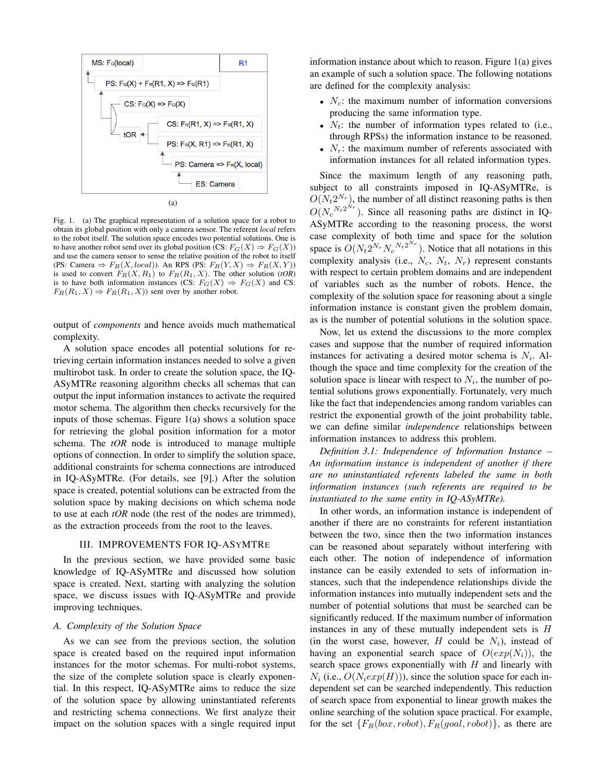

Fig. 1. (a) The graphical representation of a solution space for a robot to obtain its global position with only a camera sensor. The referent *local* refers to the robot itself. The solution space encodes two potential solutions. One is to have another robot send over its global position (CS:  $F_G(X) \Rightarrow F_G(X)$ ) and use the camera sensor to sense the relative position of the robot to itself (PS: Camera  $\Rightarrow$   $F_R(X, local)$ ). An RPS (PS:  $F_R(Y, X) \Rightarrow F_R(X, Y)$ ) is used to convert  $F_R(X, R_1)$  to  $F_R(R_1, X)$ . The other solution (*tOR*) is to have both information instances (CS:  $F_G(X) \Rightarrow F_G(X)$  and CS:  $F_R(R_1, X) \Rightarrow F_R(R_1, X)$  sent over by another robot.

output of *components* and hence avoids much mathematical complexity.

A solution space encodes all potential solutions for retrieving certain information instances needed to solve a given multirobot task. In order to create the solution space, the IQ-ASyMTRe reasoning algorithm checks all schemas that can output the input information instances to activate the required motor schema. The algorithm then checks recursively for the inputs of those schemas. Figure 1(a) shows a solution space for retrieving the global position information for a motor schema. The *tOR* node is introduced to manage multiple options of connection. In order to simplify the solution space, additional constraints for schema connections are introduced in IQ-ASyMTRe. (For details, see [9].) After the solution space is created, potential solutions can be extracted from the solution space by making decisions on which schema node to use at each *tOR* node (the rest of the nodes are trimmed), as the extraction proceeds from the root to the leaves.

# III. IMPROVEMENTS FOR IQ-ASYMTRE

In the previous section, we have provided some basic knowledge of IQ-ASyMTRe and discussed how solution space is created. Next, starting with analyzing the solution space, we discuss issues with IQ-ASyMTRe and provide improving techniques.

# *A. Complexity of the Solution Space*

As we can see from the previous section, the solution space is created based on the required input information instances for the motor schemas. For multi-robot systems, the size of the complete solution space is clearly exponential. In this respect, IQ-ASyMTRe aims to reduce the size of the solution space by allowing uninstantiated referents and restricting schema connections. We first analyze their impact on the solution spaces with a single required input information instance about which to reason. Figure 1(a) gives an example of such a solution space. The following notations are defined for the complexity analysis:

- $N_c$ : the maximum number of information conversions producing the same information type.
- $N_t$ : the number of information types related to (i.e., through RPSs) the information instance to be reasoned.
- $N_r$ : the maximum number of referents associated with information instances for all related information types.

Since the maximum length of any reasoning path, subject to all constraints imposed in IQ-ASyMTRe, is  $O(N_t 2^{N_r})$ , the number of all distinct reasoning paths is then  $O(N_c^{N_t 2^{N_r}})$ . Since all reasoning paths are distinct in IQ-ASyMTRe according to the reasoning process, the worst case complexity of both time and space for the solution space is  $O(N_t 2^{N_r} N_c^{N_t 2^{N_r}})$ . Notice that all notations in this complexity analysis (i.e.,  $N_c$ ,  $N_t$ ,  $N_r$ ) represent constants with respect to certain problem domains and are independent of variables such as the number of robots. Hence, the complexity of the solution space for reasoning about a single information instance is constant given the problem domain, as is the number of potential solutions in the solution space.

Now, let us extend the discussions to the more complex cases and suppose that the number of required information instances for activating a desired motor schema is  $N_i$ . Although the space and time complexity for the creation of the solution space is linear with respect to  $N_i$ , the number of potential solutions grows exponentially. Fortunately, very much like the fact that independencies among random variables can restrict the exponential growth of the joint probability table, we can define similar *independence* relationships between information instances to address this problem.

*Definition 3.1: Independence of Information Instance – An information instance is independent of another if there are no uninstantiated referents labeled the same in both information instances (such referents are required to be instantiated to the same entity in IQ-ASyMTRe).*

In other words, an information instance is independent of another if there are no constraints for referent instantiation between the two, since then the two information instances can be reasoned about separately without interfering with each other. The notion of independence of information instance can be easily extended to sets of information instances, such that the independence relationships divide the information instances into mutually independent sets and the number of potential solutions that must be searched can be significantly reduced. If the maximum number of information instances in any of these mutually independent sets is H (in the worst case, however, H could be  $N_i$ ), instead of having an exponential search space of  $O(exp(N_i))$ , the search space grows exponentially with  $H$  and linearly with  $N_i$  (i.e.,  $O(N_i exp(H))$ ), since the solution space for each independent set can be searched independently. This reduction of search space from exponential to linear growth makes the online searching of the solution space practical. For example, for the set  $\{F_R(box, robot), F_R(goa, robot)\}$ , as there are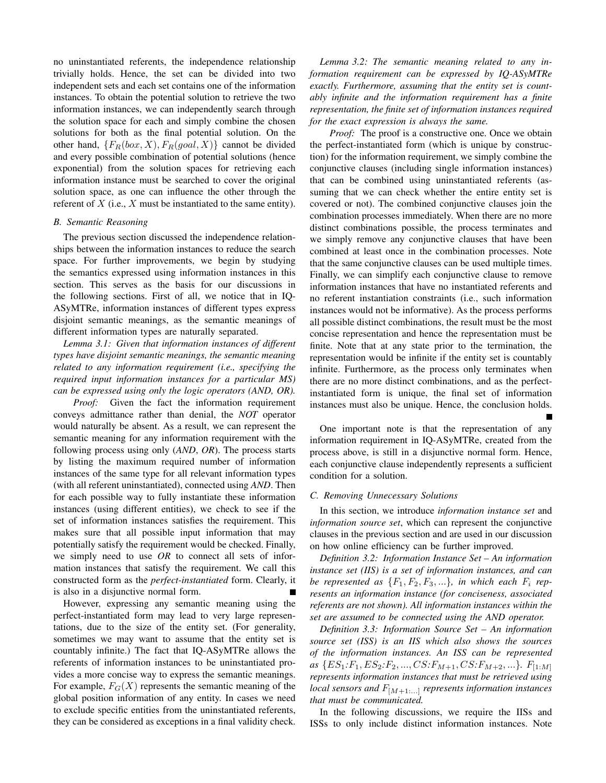no uninstantiated referents, the independence relationship trivially holds. Hence, the set can be divided into two independent sets and each set contains one of the information instances. To obtain the potential solution to retrieve the two information instances, we can independently search through the solution space for each and simply combine the chosen solutions for both as the final potential solution. On the other hand,  $\{F_R(box, X), F_R(goa, X)\}$  cannot be divided and every possible combination of potential solutions (hence exponential) from the solution spaces for retrieving each information instance must be searched to cover the original solution space, as one can influence the other through the referent of  $X$  (i.e.,  $X$  must be instantiated to the same entity).

# *B. Semantic Reasoning*

The previous section discussed the independence relationships between the information instances to reduce the search space. For further improvements, we begin by studying the semantics expressed using information instances in this section. This serves as the basis for our discussions in the following sections. First of all, we notice that in IQ-ASyMTRe, information instances of different types express disjoint semantic meanings, as the semantic meanings of different information types are naturally separated.

*Lemma 3.1: Given that information instances of different types have disjoint semantic meanings, the semantic meaning related to any information requirement (i.e., specifying the required input information instances for a particular MS) can be expressed using only the logic operators (AND, OR).*

*Proof:* Given the fact the information requirement conveys admittance rather than denial, the *NOT* operator would naturally be absent. As a result, we can represent the semantic meaning for any information requirement with the following process using only (*AND*, *OR*). The process starts by listing the maximum required number of information instances of the same type for all relevant information types (with all referent uninstantiated), connected using *AND*. Then for each possible way to fully instantiate these information instances (using different entities), we check to see if the set of information instances satisfies the requirement. This makes sure that all possible input information that may potentially satisfy the requirement would be checked. Finally, we simply need to use *OR* to connect all sets of information instances that satisfy the requirement. We call this constructed form as the *perfect-instantiated* form. Clearly, it is also in a disjunctive normal form.

However, expressing any semantic meaning using the perfect-instantiated form may lead to very large representations, due to the size of the entity set. (For generality, sometimes we may want to assume that the entity set is countably infinite.) The fact that IQ-ASyMTRe allows the referents of information instances to be uninstantiated provides a more concise way to express the semantic meanings. For example,  $F_G(X)$  represents the semantic meaning of the global position information of any entity. In cases we need to exclude specific entities from the uninstantiated referents, they can be considered as exceptions in a final validity check.

*Lemma 3.2: The semantic meaning related to any information requirement can be expressed by IQ-ASyMTRe exactly. Furthermore, assuming that the entity set is countably infinite and the information requirement has a finite representation, the finite set of information instances required for the exact expression is always the same.*

*Proof:* The proof is a constructive one. Once we obtain the perfect-instantiated form (which is unique by construction) for the information requirement, we simply combine the conjunctive clauses (including single information instances) that can be combined using uninstantiated referents (assuming that we can check whether the entire entity set is covered or not). The combined conjunctive clauses join the combination processes immediately. When there are no more distinct combinations possible, the process terminates and we simply remove any conjunctive clauses that have been combined at least once in the combination processes. Note that the same conjunctive clauses can be used multiple times. Finally, we can simplify each conjunctive clause to remove information instances that have no instantiated referents and no referent instantiation constraints (i.e., such information instances would not be informative). As the process performs all possible distinct combinations, the result must be the most concise representation and hence the representation must be finite. Note that at any state prior to the termination, the representation would be infinite if the entity set is countably infinite. Furthermore, as the process only terminates when there are no more distinct combinations, and as the perfectinstantiated form is unique, the final set of information instances must also be unique. Hence, the conclusion holds.

One important note is that the representation of any information requirement in IQ-ASyMTRe, created from the process above, is still in a disjunctive normal form. Hence, each conjunctive clause independently represents a sufficient condition for a solution.

 $\blacksquare$ 

#### *C. Removing Unnecessary Solutions*

In this section, we introduce *information instance set* and *information source set*, which can represent the conjunctive clauses in the previous section and are used in our discussion on how online efficiency can be further improved.

*Definition 3.2: Information Instance Set – An information instance set (IIS) is a set of information instances, and can be represented as*  $\{F_1, F_2, F_3, ...\}$ *, in which each*  $F_i$  *represents an information instance (for conciseness, associated referents are not shown). All information instances within the set are assumed to be connected using the AND operator.*

*Definition 3.3: Information Source Set – An information source set (ISS) is an IIS which also shows the sources of the information instances. An ISS can be represented*  $as \{ES_1: F_1, ES_2: F_2, ..., CS: F_{M+1}, CS: F_{M+2}, ...\}$ *.*  $F_{[1:M]}$ *represents information instances that must be retrieved using local sensors and* F[M+1:...] *represents information instances that must be communicated.*

In the following discussions, we require the IISs and ISSs to only include distinct information instances. Note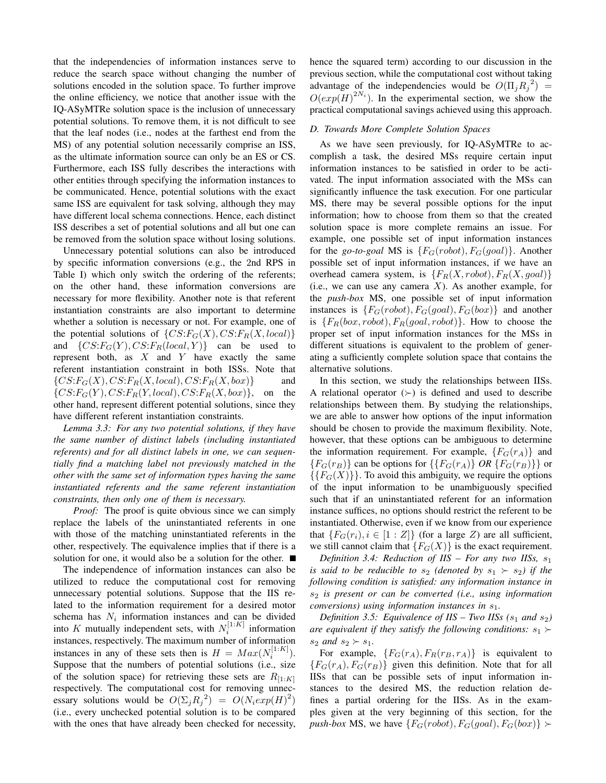that the independencies of information instances serve to reduce the search space without changing the number of solutions encoded in the solution space. To further improve the online efficiency, we notice that another issue with the IQ-ASyMTRe solution space is the inclusion of unnecessary potential solutions. To remove them, it is not difficult to see that the leaf nodes (i.e., nodes at the farthest end from the MS) of any potential solution necessarily comprise an ISS, as the ultimate information source can only be an ES or CS. Furthermore, each ISS fully describes the interactions with other entities through specifying the information instances to be communicated. Hence, potential solutions with the exact same ISS are equivalent for task solving, although they may have different local schema connections. Hence, each distinct ISS describes a set of potential solutions and all but one can be removed from the solution space without losing solutions.

Unnecessary potential solutions can also be introduced by specific information conversions (e.g., the 2nd RPS in Table I) which only switch the ordering of the referents; on the other hand, these information conversions are necessary for more flexibility. Another note is that referent instantiation constraints are also important to determine whether a solution is necessary or not. For example, one of the potential solutions of  $\{CS: F_G(X), CS: F_R(X, local)\}$ and  $\{CS: F_G(Y), CS: F_R(local, Y)\}$  can be used to represent both, as  $X$  and  $Y$  have exactly the same referent instantiation constraint in both ISSs. Note that  $\{CS: F_G(X), CS: F_R(X, local), CS: F_R(X, box)\}$  and  $\{CS: F_G(Y), CS: F_R(Y, local), CS: F_R(X, box)\},$  on the other hand, represent different potential solutions, since they have different referent instantiation constraints.

*Lemma 3.3: For any two potential solutions, if they have the same number of distinct labels (including instantiated referents) and for all distinct labels in one, we can sequentially find a matching label not previously matched in the other with the same set of information types having the same instantiated referents and the same referent instantiation constraints, then only one of them is necessary.*

*Proof:* The proof is quite obvious since we can simply replace the labels of the uninstantiated referents in one with those of the matching uninstantiated referents in the other, respectively. The equivalence implies that if there is a solution for one, it would also be a solution for the other.  $\blacksquare$ 

The independence of information instances can also be utilized to reduce the computational cost for removing unnecessary potential solutions. Suppose that the IIS related to the information requirement for a desired motor schema has  $N_i$  information instances and can be divided into K mutually independent sets, with  $N_i^{[1:K]}$  information instances, respectively. The maximum number of information instances in any of these sets then is  $H = Max(N_i^{[1:K]})$ . Suppose that the numbers of potential solutions (i.e., size of the solution space) for retrieving these sets are  $R_{[1:K]}$ respectively. The computational cost for removing unnecessary solutions would be  $O(\Sigma_j R_j^2) = O(N_i exp(H)^2)$ (i.e., every unchecked potential solution is to be compared with the ones that have already been checked for necessity, hence the squared term) according to our discussion in the previous section, while the computational cost without taking advantage of the independencies would be  $O(\Pi_j R_j^2)$  =  $O(exp(H)^{2N_i})$ . In the experimental section, we show the practical computational savings achieved using this approach.

## *D. Towards More Complete Solution Spaces*

As we have seen previously, for IQ-ASyMTRe to accomplish a task, the desired MSs require certain input information instances to be satisfied in order to be activated. The input information associated with the MSs can significantly influence the task execution. For one particular MS, there may be several possible options for the input information; how to choose from them so that the created solution space is more complete remains an issue. For example, one possible set of input information instances for the *go-to-goal* MS is  $\{F_G(robot), F_G(goal)\}\)$ . Another possible set of input information instances, if we have an overhead camera system, is  ${F_R(X, robot), F_R(X, goal)}$ (i.e., we can use any camera  $X$ ). As another example, for the *push-box* MS, one possible set of input information instances is  ${F_G(robot), F_G(goal), F_G(box)}$  and another is  ${F_R(box, robot), F_R(goa, robot)}$ . How to choose the proper set of input information instances for the MSs in different situations is equivalent to the problem of generating a sufficiently complete solution space that contains the alternative solutions.

In this section, we study the relationships between IISs. A relational operator  $(\succ)$  is defined and used to describe relationships between them. By studying the relationships, we are able to answer how options of the input information should be chosen to provide the maximum flexibility. Note, however, that these options can be ambiguous to determine the information requirement. For example,  $\{F_G(r_A)\}\$ and  ${F_G(r_B)}$  can be options for  ${F_G(r_A)}$  *OR*  ${F_G(r_B)}$  or  $\{\{F_G(X)\}\}\.$  To avoid this ambiguity, we require the options of the input information to be unambiguously specified such that if an uninstantiated referent for an information instance suffices, no options should restrict the referent to be instantiated. Otherwise, even if we know from our experience that  $\{F_G(r_i), i \in [1 : Z]\}$  (for a large Z) are all sufficient, we still cannot claim that  ${F_G(X)}$  is the exact requirement.

*Definition 3.4: Reduction of IIS – For any two IISs,*  $s_1$ *is said to be reducible to*  $s_2$  *(denoted by*  $s_1 \succ s_2$ *) if the following condition is satisfied: any information instance in* s<sup>2</sup> *is present or can be converted (i.e., using information conversions)* using information instances in  $s_1$ .

*Definition 3.5: Equivalence of IIS – Two IISs*  $(s_1$  *and*  $s_2$ *) are equivalent if they satisfy the following conditions:*  $s_1$   $\succ$  $s_2$  *and*  $s_2 \succ s_1$ *.* 

For example,  ${F_G(r_A), F_R(r_B, r_A)}$  is equivalent to  ${F_G(r_A), F_G(r_B)}$  given this definition. Note that for all IISs that can be possible sets of input information instances to the desired MS, the reduction relation defines a partial ordering for the IISs. As in the examples given at the very beginning of this section, for the *push-box* MS, we have  ${F_G(robot), F_G(goal), F_G(box)}$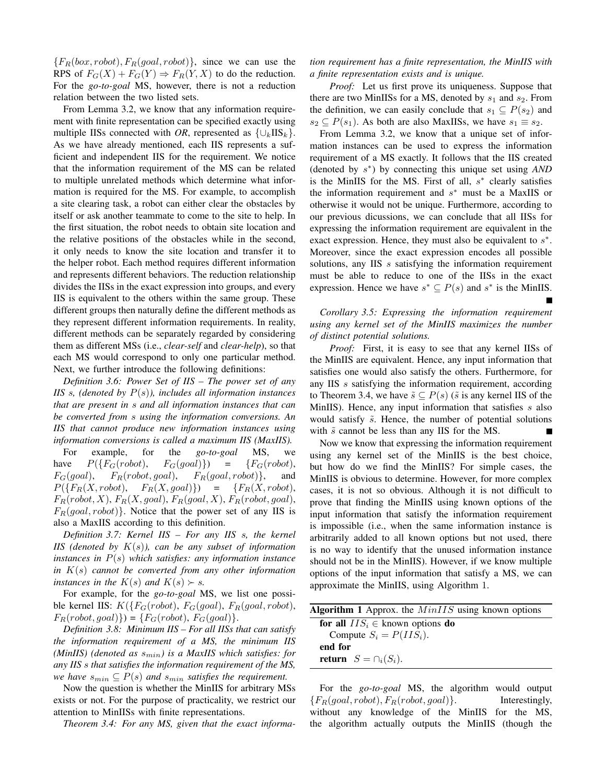${F_R(box, robot), F_R(goa, robot)}$ , since we can use the RPS of  $F_G(X) + F_G(Y) \Rightarrow F_R(Y, X)$  to do the reduction. For the *go-to-goal* MS, however, there is not a reduction relation between the two listed sets.

From Lemma 3.2, we know that any information requirement with finite representation can be specified exactly using multiple IISs connected with *OR*, represented as  $\{\cup_k \text{IIS}_k\}.$ As we have already mentioned, each IIS represents a sufficient and independent IIS for the requirement. We notice that the information requirement of the MS can be related to multiple unrelated methods which determine what information is required for the MS. For example, to accomplish a site clearing task, a robot can either clear the obstacles by itself or ask another teammate to come to the site to help. In the first situation, the robot needs to obtain site location and the relative positions of the obstacles while in the second, it only needs to know the site location and transfer it to the helper robot. Each method requires different information and represents different behaviors. The reduction relationship divides the IISs in the exact expression into groups, and every IIS is equivalent to the others within the same group. These different groups then naturally define the different methods as they represent different information requirements. In reality, different methods can be separately regarded by considering them as different MSs (i.e., *clear-self* and *clear-help*), so that each MS would correspond to only one particular method. Next, we further introduce the following definitions:

*Definition 3.6: Power Set of IIS – The power set of any IIS* s*, (denoted by* P(s)*), includes all information instances that are present in* s *and all information instances that can be converted from* s *using the information conversions. An IIS that cannot produce new information instances using information conversions is called a maximum IIS (MaxIIS).*

For example, for the *go-to-goal* MS, we have  $P({F_G(robot)}, F_G(goal)) = {F_G(robot)},$  $F_G(goal), \quad F_R(robot, goal), \quad F_R(goal, robot)\}, \quad$  and  $P({F_R(X, robot), F_R(X, goal)}) = {F_R(X, robot),$  $F_R(robot, X), F_R(X, goal), F_R(gool, X), F_R(robot, goal),$  $F_R(goal, robot)$ . Notice that the power set of any IIS is also a MaxIIS according to this definition.

*Definition 3.7: Kernel IIS – For any IIS* s*, the kernel IIS (denoted by* K(s)*), can be any subset of information instances in* P(s) *which satisfies: any information instance in* K(s) *cannot be converted from any other information instances in the*  $K(s)$  *and*  $K(s) \succ s$ *.* 

For example, for the *go-to-goal* MS, we list one possible kernel IIS:  $K({F_G(robot), F_G(goal), F_R(goal, robot}),$  $F_R(robot, goal)$  =  $\{F_G(robot), F_G(goal)\}.$ 

*Definition 3.8: Minimum IIS – For all IISs that can satisfy the information requirement of a MS, the minimum IIS (MinIIS) (denoted as*  $s_{min}$ *) is a MaxIIS which satisfies: for any IIS* s *that satisfies the information requirement of the MS, we have*  $s_{min} \subseteq P(s)$  *and*  $s_{min}$  *satisfies the requirement.* 

Now the question is whether the MinIIS for arbitrary MSs exists or not. For the purpose of practicality, we restrict our attention to MinIISs with finite representations.

*Theorem 3.4: For any MS, given that the exact informa-*

*tion requirement has a finite representation, the MinIIS with a finite representation exists and is unique.*

*Proof:* Let us first prove its uniqueness. Suppose that there are two MinIISs for a MS, denoted by  $s_1$  and  $s_2$ . From the definition, we can easily conclude that  $s_1 \subseteq P(s_2)$  and  $s_2 \subseteq P(s_1)$ . As both are also MaxIISs, we have  $s_1 \equiv s_2$ .

From Lemma 3.2, we know that a unique set of information instances can be used to express the information requirement of a MS exactly. It follows that the IIS created (denoted by s ∗ ) by connecting this unique set using *AND* is the MinIIS for the MS. First of all,  $s^*$  clearly satisfies the information requirement and  $s^*$  must be a MaxIIS or otherwise it would not be unique. Furthermore, according to our previous dicussions, we can conclude that all IISs for expressing the information requirement are equivalent in the exact expression. Hence, they must also be equivalent to  $s^*$ . Moreover, since the exact expression encodes all possible solutions, any IIS s satisfying the information requirement must be able to reduce to one of the IISs in the exact expression. Hence we have  $s^* \subseteq P(s)$  and  $s^*$  is the MinIIS.

*Corollary 3.5: Expressing the information requirement using any kernel set of the MinIIS maximizes the number of distinct potential solutions.*

*Proof:* First, it is easy to see that any kernel IISs of the MinIIS are equivalent. Hence, any input information that satisfies one would also satisfy the others. Furthermore, for any IIS s satisfying the information requirement, according to Theorem 3.4, we have  $\tilde{s} \subseteq P(s)$  ( $\tilde{s}$  is any kernel IIS of the MinIIS). Hence, any input information that satisfies  $s$  also would satisfy  $\tilde{s}$ . Hence, the number of potential solutions with  $\tilde{s}$  cannot be less than any IIS for the MS.

Now we know that expressing the information requirement using any kernel set of the MinIIS is the best choice, but how do we find the MinIIS? For simple cases, the MinIIS is obvious to determine. However, for more complex cases, it is not so obvious. Although it is not difficult to prove that finding the MinIIS using known options of the input information that satisfy the information requirement is impossible (i.e., when the same information instance is arbitrarily added to all known options but not used, there is no way to identify that the unused information instance should not be in the MinIIS). However, if we know multiple options of the input information that satisfy a MS, we can approximate the MinIIS, using Algorithm 1.

| <b>Algorithm 1</b> Approx. the $MinIIS$ using known options |
|-------------------------------------------------------------|
| for all $IIS_i \in$ known options do                        |
| Compute $S_i = P(IIS_i)$ .                                  |
| end for                                                     |
| <b>return</b> $S = \bigcap_i (S_i)$ .                       |

For the *go-to-goal* MS, the algorithm would output  ${F_R(goal, robot), F_R(robot, goal)}.$  Interestingly, without any knowledge of the MinIIS for the MS, the algorithm actually outputs the MinIIS (though the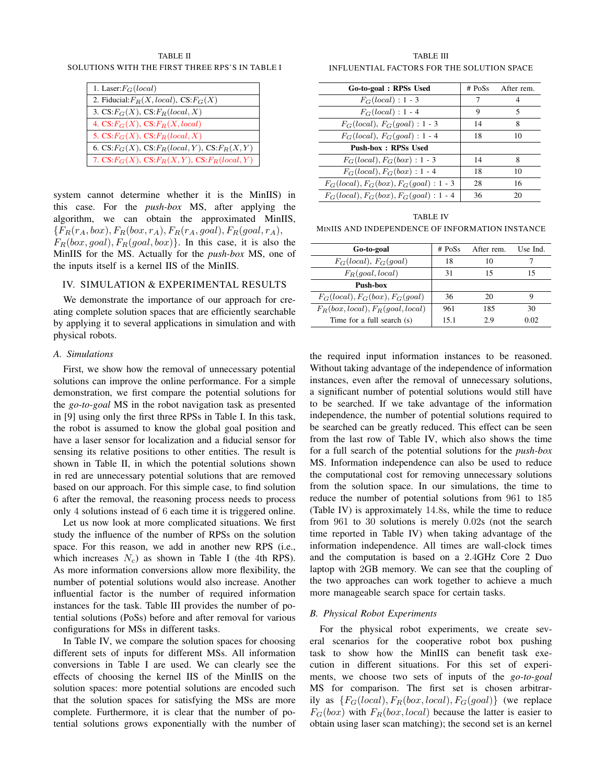TABLE II SOLUTIONS WITH THE FIRST THREE RPS'S IN TABLE I

| 1. Laser: $F_G (local)$                                 |
|---------------------------------------------------------|
| 2. Fiducial: $F_R(X, local)$ , CS: $F_G(X)$             |
| 3. $CS: F_G(X)$ , $CS: F_R(local, X)$                   |
| 4. $CS: F_G(X)$ , $CS: F_R(X, local)$                   |
| 5. $CS: F_G(X)$ , $CS: F_R(local, X)$                   |
| 6. CS: $F_G(X)$ , CS: $F_R(local, Y)$ , CS: $F_R(X, Y)$ |
| 7. $CS: F_G(X)$ , $CS: F_R(X, Y)$ , $CS: F_R(local, Y)$ |

system cannot determine whether it is the MinIIS) in this case. For the *push-box* MS, after applying the algorithm, we can obtain the approximated MinIIS,  ${F_R(r_A, box), F_R(box, r_A), F_R(r_A, goal), F_R(goa, r_A),}$ 

 $F_R(box, goal), F_R(goa, box)$ . In this case, it is also the MinIIS for the MS. Actually for the *push-box* MS, one of the inputs itself is a kernel IIS of the MinIIS.

## IV. SIMULATION & EXPERIMENTAL RESULTS

We demonstrate the importance of our approach for creating complete solution spaces that are efficiently searchable by applying it to several applications in simulation and with physical robots.

## *A. Simulations*

First, we show how the removal of unnecessary potential solutions can improve the online performance. For a simple demonstration, we first compare the potential solutions for the *go-to-goal* MS in the robot navigation task as presented in [9] using only the first three RPSs in Table I. In this task, the robot is assumed to know the global goal position and have a laser sensor for localization and a fiducial sensor for sensing its relative positions to other entities. The result is shown in Table II, in which the potential solutions shown in red are unnecessary potential solutions that are removed based on our approach. For this simple case, to find solution 6 after the removal, the reasoning process needs to process only 4 solutions instead of 6 each time it is triggered online.

Let us now look at more complicated situations. We first study the influence of the number of RPSs on the solution space. For this reason, we add in another new RPS (i.e., which increases  $N_c$ ) as shown in Table I (the 4th RPS). As more information conversions allow more flexibility, the number of potential solutions would also increase. Another influential factor is the number of required information instances for the task. Table III provides the number of potential solutions (PoSs) before and after removal for various configurations for MSs in different tasks.

In Table IV, we compare the solution spaces for choosing different sets of inputs for different MSs. All information conversions in Table I are used. We can clearly see the effects of choosing the kernel IIS of the MinIIS on the solution spaces: more potential solutions are encoded such that the solution spaces for satisfying the MSs are more complete. Furthermore, it is clear that the number of potential solutions grows exponentially with the number of

TABLE III INFLUENTIAL FACTORS FOR THE SOLUTION SPACE

| Go-to-goal: RPSs Used                    | $#$ PoSs | After rem. |
|------------------------------------------|----------|------------|
| $F_G(local): 1 - 3$                      |          | 4          |
| $F_G(local) : 1 - 4$                     | 9        | 5          |
| $F_G(local), F_G(goal): 1 - 3$           | 14       | 8          |
| $F_G(local), F_G(goal): 1 - 4$           | 18       | 10         |
| Push-box: RPSs Used                      |          |            |
| $F_G(local), F_G(box): 1 - 3$            | 14       | 8          |
| $F_G(local), F_G(box): 1 - 4$            | 18       | 10         |
| $F_G(local), F_G(box), F_G(goal): 1 - 3$ | 28       | 16         |
| $F_G(local), F_G(box), F_G(goal): 1 - 4$ | 36       | 20         |

TABLE IV MINIIS AND INDEPENDENCE OF INFORMATION INSTANCE

| Go-to-goal                         | # PoSs | After rem. | Use Ind. |
|------------------------------------|--------|------------|----------|
| $F_G(local), F_G(goal)$            | 18     | 10         |          |
| $F_R(qoal, local)$                 | 31     | 15         | 15       |
| Push-box                           |        |            |          |
| $F_G(local), F_G(box), F_G(qoal)$  | 36     | 20         | q        |
| $F_R(box, local), F_R(goa, local)$ | 961    | 185        | 30       |
| Time for a full search (s)         | 15.1   | 2 Q        | വ ധ      |

the required input information instances to be reasoned. Without taking advantage of the independence of information instances, even after the removal of unnecessary solutions, a significant number of potential solutions would still have to be searched. If we take advantage of the information independence, the number of potential solutions required to be searched can be greatly reduced. This effect can be seen from the last row of Table IV, which also shows the time for a full search of the potential solutions for the *push-box* MS. Information independence can also be used to reduce the computational cost for removing unnecessary solutions from the solution space. In our simulations, the time to reduce the number of potential solutions from 961 to 185 (Table IV) is approximately 14.8s, while the time to reduce from 961 to 30 solutions is merely 0.02s (not the search time reported in Table IV) when taking advantage of the information independence. All times are wall-clock times and the computation is based on a 2.4GHz Core 2 Duo laptop with 2GB memory. We can see that the coupling of the two approaches can work together to achieve a much more manageable search space for certain tasks.

## *B. Physical Robot Experiments*

For the physical robot experiments, we create several scenarios for the cooperative robot box pushing task to show how the MinIIS can benefit task execution in different situations. For this set of experiments, we choose two sets of inputs of the *go-to-goal* MS for comparison. The first set is chosen arbitrarily as  $\{F_G(local), F_R(box, local), F_G(goad)\}\$  (we replace  $F_G(box)$  with  $F_R(box, local)$  because the latter is easier to obtain using laser scan matching); the second set is an kernel